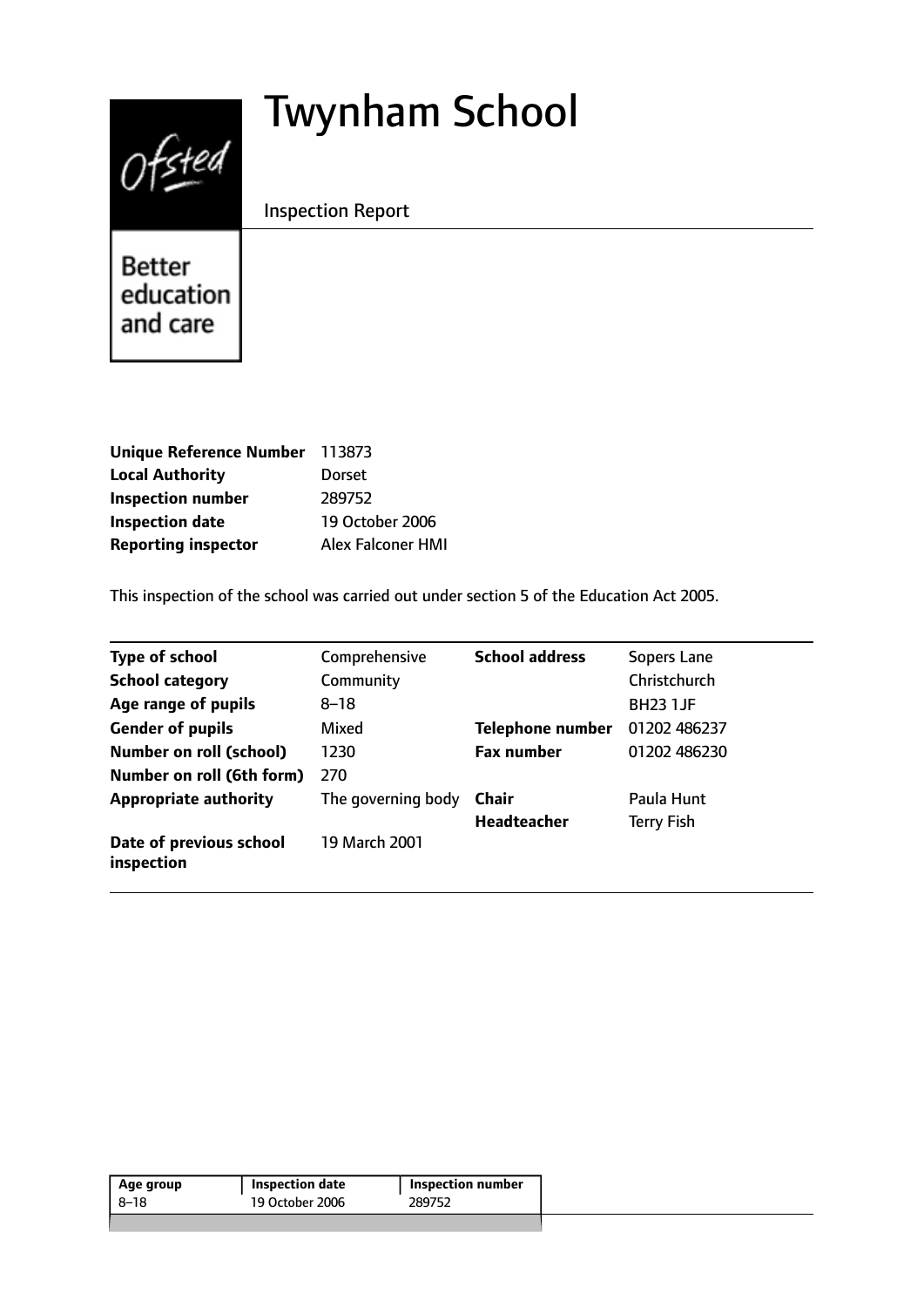# Twynham School



Inspection Report

Better education and care

| <b>Unique Reference Number</b> | 113873                   |
|--------------------------------|--------------------------|
| <b>Local Authority</b>         | <b>Dorset</b>            |
| <b>Inspection number</b>       | 289752                   |
| <b>Inspection date</b>         | 19 October 2006          |
| <b>Reporting inspector</b>     | <b>Alex Falconer HMI</b> |

This inspection of the school was carried out under section 5 of the Education Act 2005.

| <b>Type of school</b>                 | Comprehensive      | <b>School address</b>   | Sopers Lane       |
|---------------------------------------|--------------------|-------------------------|-------------------|
| <b>School category</b>                | Community          |                         | Christchurch      |
| Age range of pupils                   | $8 - 18$           |                         | <b>BH23 1JF</b>   |
| <b>Gender of pupils</b>               | Mixed              | <b>Telephone number</b> | 01202 486237      |
| <b>Number on roll (school)</b>        | 1230               | <b>Fax number</b>       | 01202 486230      |
| Number on roll (6th form)             | 270                |                         |                   |
| <b>Appropriate authority</b>          | The governing body | Chair                   | Paula Hunt        |
|                                       |                    | Headteacher             | <b>Terry Fish</b> |
| Date of previous school<br>inspection | 19 March 2001      |                         |                   |

| 19 October 2006<br>289752<br>8–18 | Age group | Inspection date | <b>Inspection number</b> |  |
|-----------------------------------|-----------|-----------------|--------------------------|--|
|                                   |           |                 |                          |  |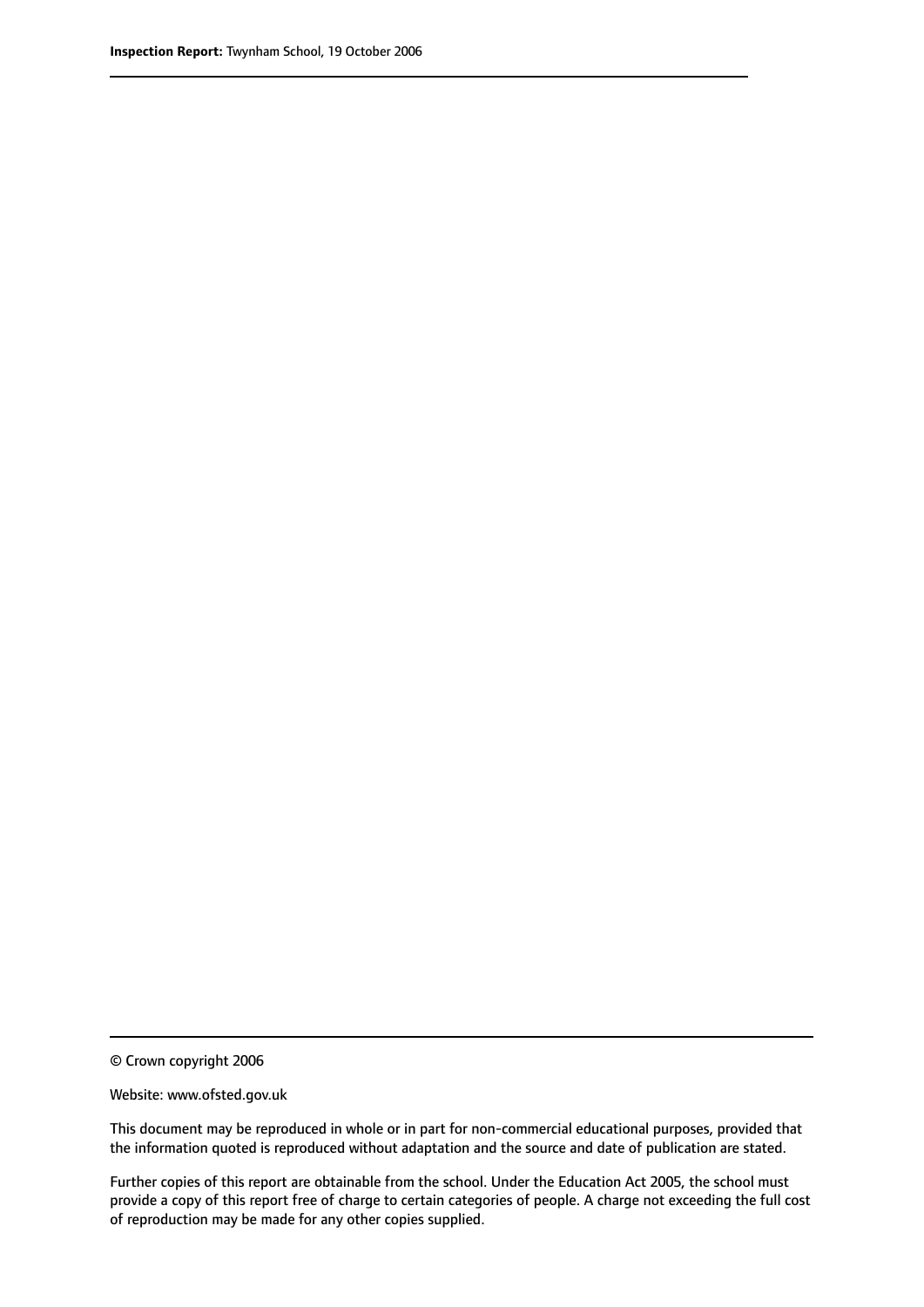© Crown copyright 2006

Website: www.ofsted.gov.uk

This document may be reproduced in whole or in part for non-commercial educational purposes, provided that the information quoted is reproduced without adaptation and the source and date of publication are stated.

Further copies of this report are obtainable from the school. Under the Education Act 2005, the school must provide a copy of this report free of charge to certain categories of people. A charge not exceeding the full cost of reproduction may be made for any other copies supplied.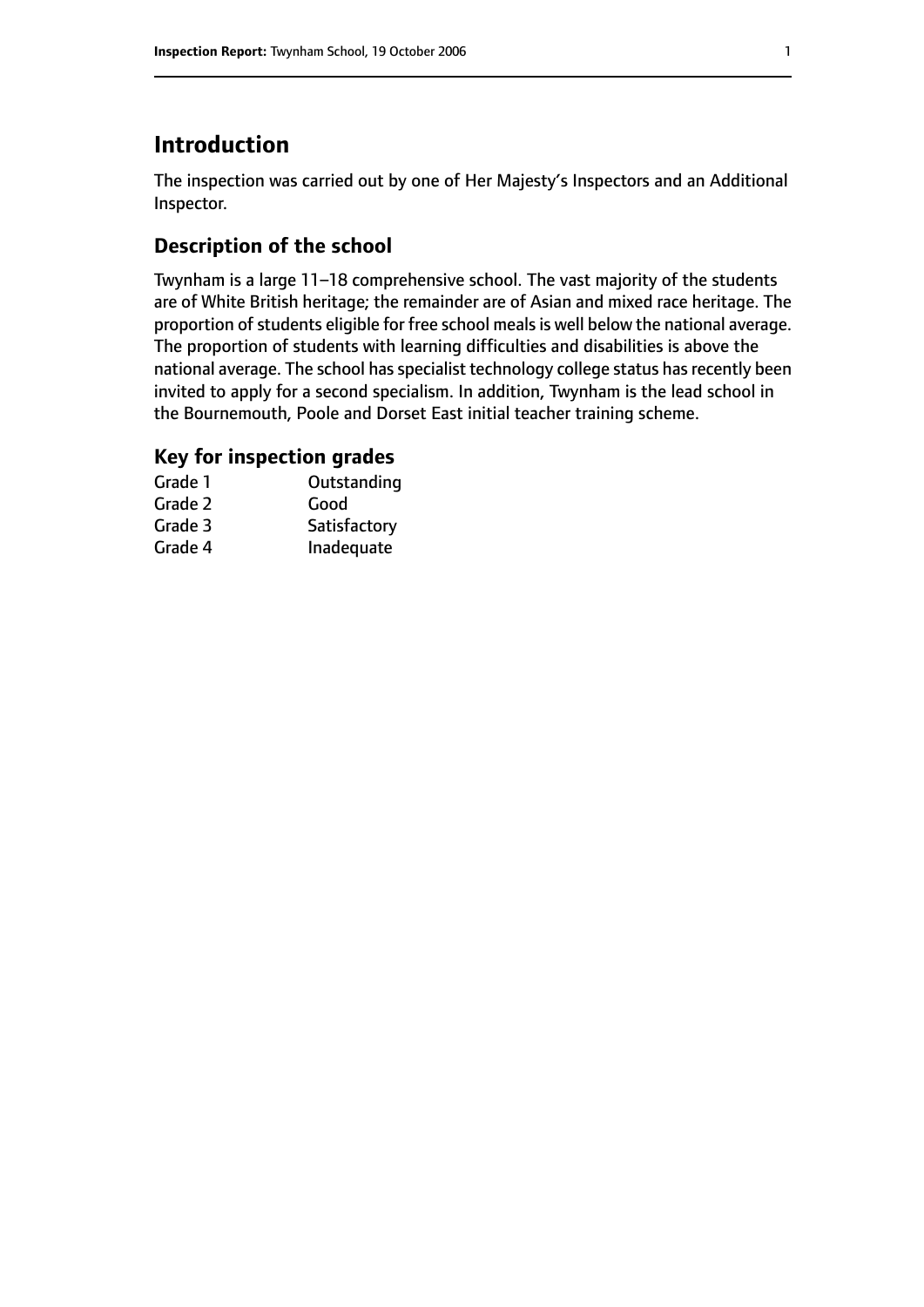# **Introduction**

The inspection was carried out by one of Her Majesty's Inspectors and an Additional Inspector.

# **Description of the school**

Twynham is a large 11-18 comprehensive school. The vast majority of the students are of White British heritage; the remainder are of Asian and mixed race heritage. The proportion of students eligible for free school meals is well below the national average. The proportion of students with learning difficulties and disabilities is above the national average. The school has specialist technology college status has recently been invited to apply for a second specialism. In addition, Twynham is the lead school in the Bournemouth, Poole and Dorset East initial teacher training scheme.

### **Key for inspection grades**

| Grade 1 | Outstanding  |
|---------|--------------|
| Grade 2 | Good         |
| Grade 3 | Satisfactory |
| Grade 4 | Inadequate   |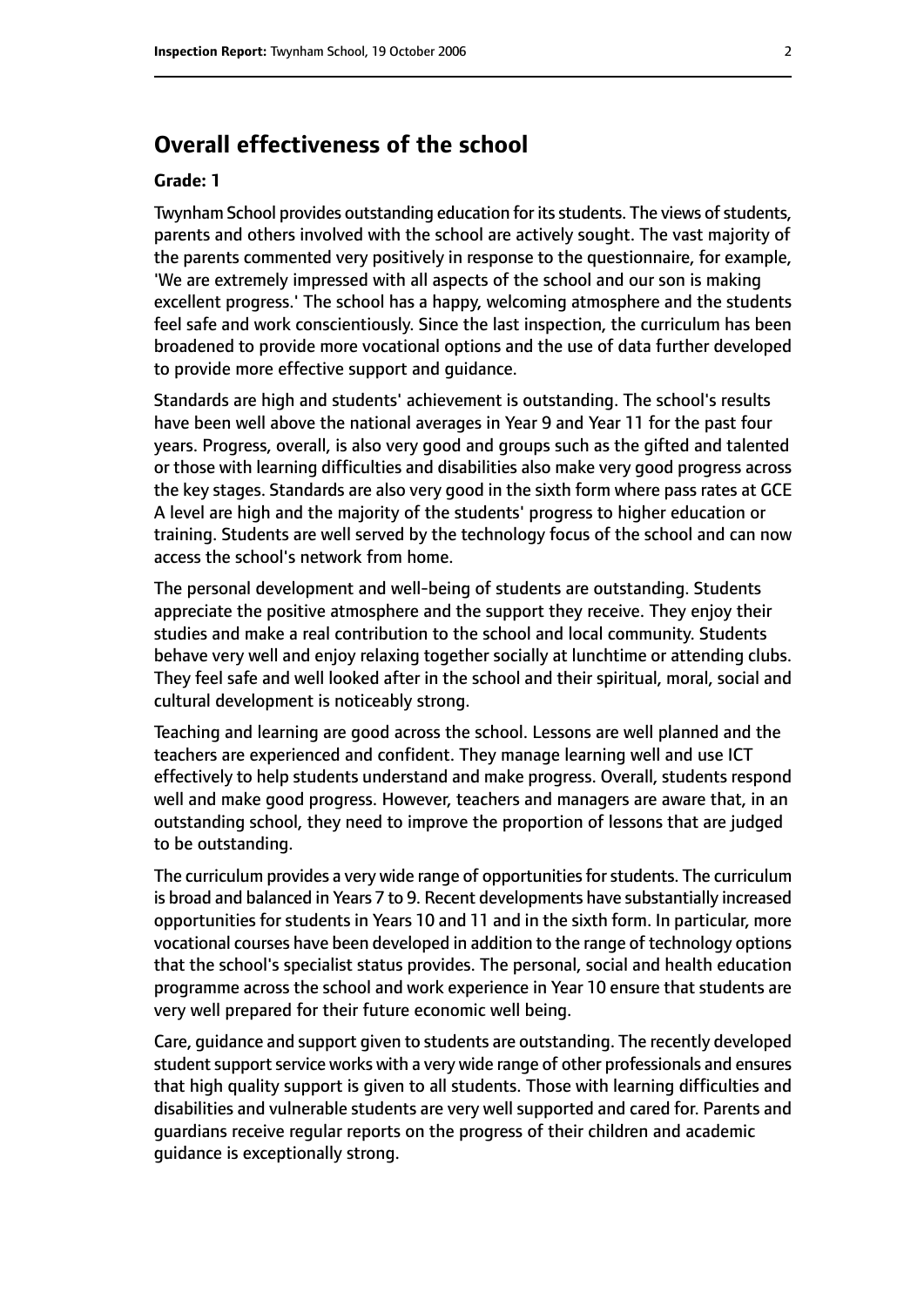# **Overall effectiveness of the school**

#### **Grade: 1**

Twynham School provides outstanding education for its students. The views of students, parents and others involved with the school are actively sought. The vast majority of the parents commented very positively in response to the questionnaire, for example, 'We are extremely impressed with all aspects of the school and our son is making excellent progress.' The school has a happy, welcoming atmosphere and the students feel safe and work conscientiously. Since the last inspection, the curriculum has been broadened to provide more vocational options and the use of data further developed to provide more effective support and guidance.

Standards are high and students' achievement is outstanding. The school's results have been well above the national averages in Year 9 and Year 11 for the past four years. Progress, overall, is also very good and groups such as the gifted and talented or those with learning difficulties and disabilities also make very good progress across the key stages. Standards are also very good in the sixth form where pass rates at GCE A level are high and the majority of the students' progress to higher education or training. Students are well served by the technology focus of the school and can now access the school's network from home.

The personal development and well-being of students are outstanding. Students appreciate the positive atmosphere and the support they receive. They enjoy their studies and make a real contribution to the school and local community. Students behave very well and enjoy relaxing together socially at lunchtime or attending clubs. They feel safe and well looked after in the school and their spiritual, moral, social and cultural development is noticeably strong.

Teaching and learning are good across the school. Lessons are well planned and the teachers are experienced and confident. They manage learning well and use ICT effectively to help students understand and make progress. Overall, students respond well and make good progress. However, teachers and managers are aware that, in an outstanding school, they need to improve the proportion of lessons that are judged to be outstanding.

The curriculum provides a very wide range of opportunities for students. The curriculum is broad and balanced in Years 7 to 9. Recent developments have substantially increased opportunities for students in Years 10 and 11 and in the sixth form. In particular, more vocational courses have been developed in addition to the range of technology options that the school's specialist status provides. The personal, social and health education programme across the school and work experience in Year 10 ensure that students are very well prepared for their future economic well being.

Care, guidance and support given to students are outstanding. The recently developed student support service works with a very wide range of other professionals and ensures that high quality support is given to all students. Those with learning difficulties and disabilities and vulnerable students are very well supported and cared for. Parents and guardians receive regular reports on the progress of their children and academic guidance is exceptionally strong.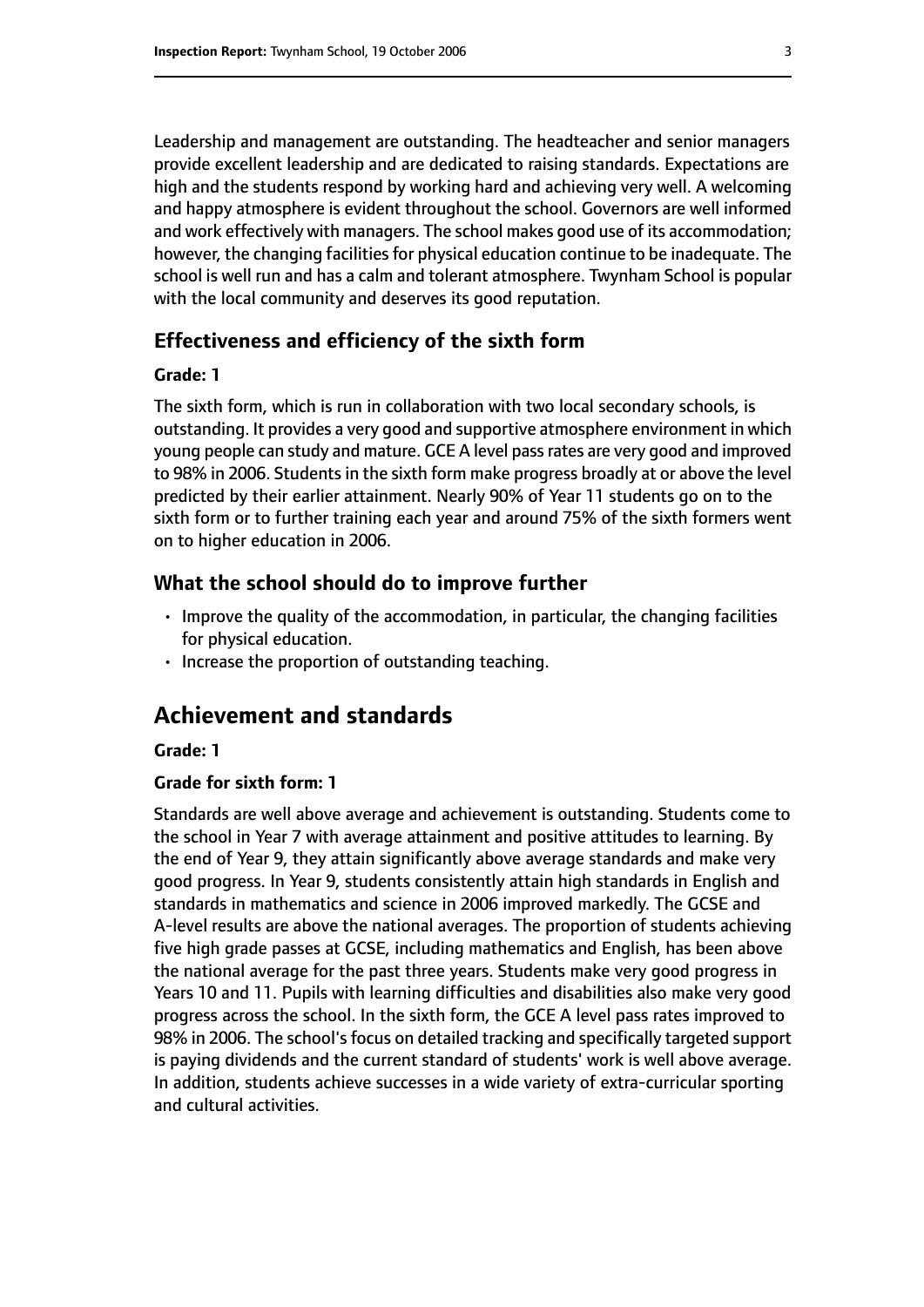Leadership and management are outstanding. The headteacher and senior managers provide excellent leadership and are dedicated to raising standards. Expectations are high and the students respond by working hard and achieving very well. A welcoming and happy atmosphere is evident throughout the school. Governors are well informed and work effectively with managers. The school makes good use of its accommodation; however, the changing facilities for physical education continue to be inadequate. The school is well run and has a calm and tolerant atmosphere. Twynham School is popular with the local community and deserves its good reputation.

#### **Effectiveness and efficiency of the sixth form**

#### **Grade: 1**

The sixth form, which is run in collaboration with two local secondary schools, is outstanding. It provides a very good and supportive atmosphere environment in which young people can study and mature. GCE A level passrates are very good and improved to 98% in 2006. Students in the sixth form make progress broadly at or above the level predicted by their earlier attainment. Nearly 90% of Year 11 students go on to the sixth form or to further training each year and around 75% of the sixth formers went on to higher education in 2006.

#### **What the school should do to improve further**

- Improve the quality of the accommodation, in particular, the changing facilities for physical education.
- Increase the proportion of outstanding teaching.

## **Achievement and standards**

#### **Grade: 1**

#### **Grade for sixth form: 1**

Standards are well above average and achievement is outstanding. Students come to the school in Year 7 with average attainment and positive attitudes to learning. By the end of Year 9, they attain significantly above average standards and make very good progress. In Year 9, students consistently attain high standards in English and standards in mathematics and science in 2006 improved markedly. The GCSE and A-level results are above the national averages. The proportion of students achieving five high grade passes at GCSE, including mathematics and English, has been above the national average for the past three years. Students make very good progress in Years 10 and 11. Pupils with learning difficulties and disabilities also make very good progress across the school. In the sixth form, the GCE A level pass rates improved to 98% in 2006. The school's focus on detailed tracking and specifically targeted support is paying dividends and the current standard of students' work is well above average. In addition, students achieve successes in a wide variety of extra-curricular sporting and cultural activities.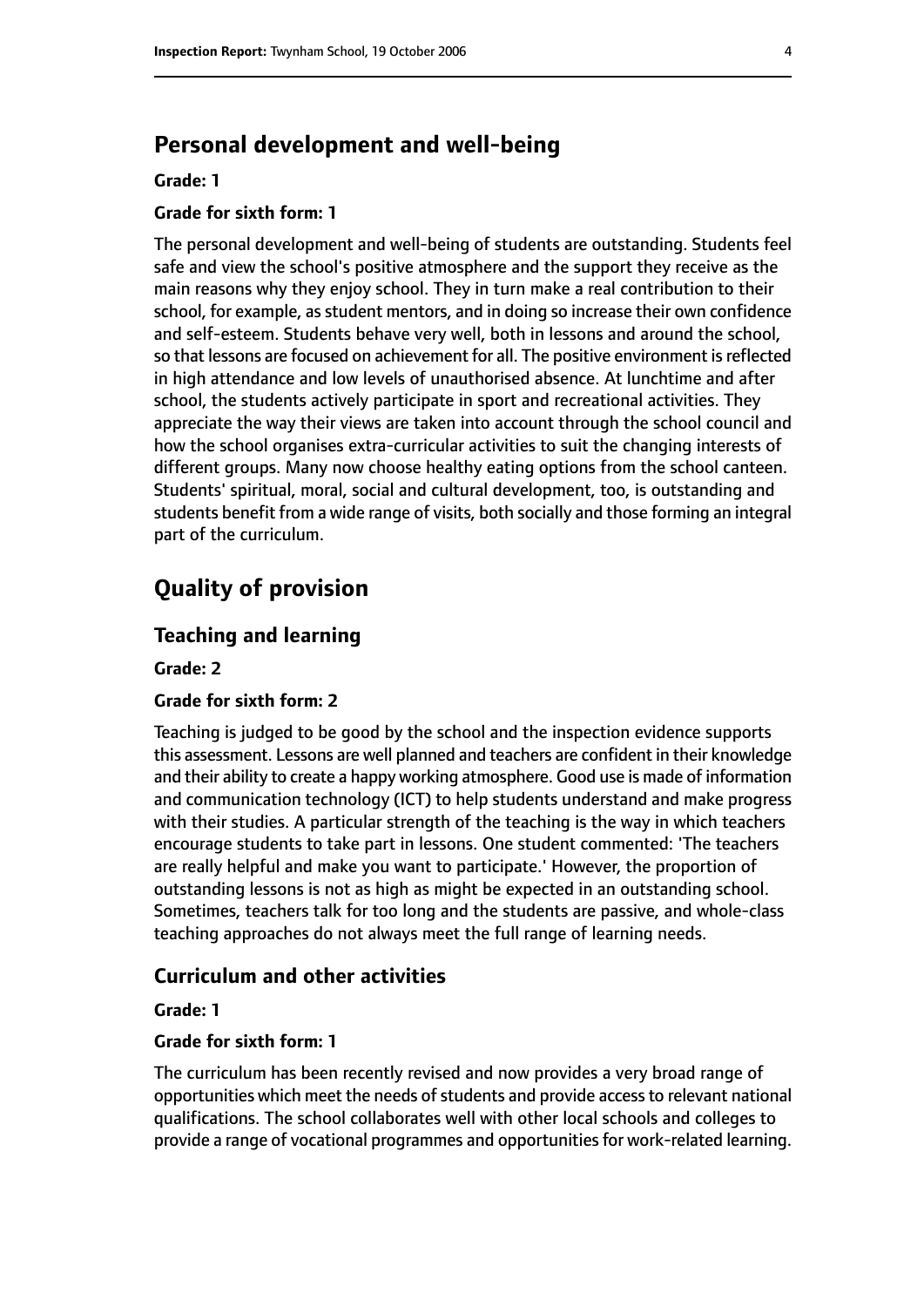# **Personal development and well-being**

#### **Grade: 1**

#### **Grade for sixth form: 1**

The personal development and well-being of students are outstanding. Students feel safe and view the school's positive atmosphere and the support they receive as the main reasons why they enjoy school. They in turn make a real contribution to their school, for example, as student mentors, and in doing so increase their own confidence and self-esteem. Students behave very well, both in lessons and around the school, so that lessons are focused on achievement for all. The positive environment is reflected in high attendance and low levels of unauthorised absence. At lunchtime and after school, the students actively participate in sport and recreational activities. They appreciate the way their views are taken into account through the school council and how the school organises extra-curricular activities to suit the changing interests of different groups. Many now choose healthy eating options from the school canteen. Students' spiritual, moral, social and cultural development, too, is outstanding and students benefit from a wide range of visits, both socially and those forming an integral part of the curriculum.

# **Quality of provision**

#### **Teaching and learning**

**Grade: 2**

#### **Grade for sixth form: 2**

Teaching is judged to be good by the school and the inspection evidence supports this assessment. Lessons are well planned and teachers are confident in their knowledge and their ability to create a happy working atmosphere. Good use is made of information and communication technology (ICT) to help students understand and make progress with their studies. A particular strength of the teaching is the way in which teachers encourage students to take part in lessons. One student commented: 'The teachers are really helpful and make you want to participate.' However, the proportion of outstanding lessons is not as high as might be expected in an outstanding school. Sometimes, teachers talk for too long and the students are passive, and whole-class teaching approaches do not always meet the full range of learning needs.

#### **Curriculum and other activities**

#### **Grade: 1**

#### **Grade for sixth form: 1**

The curriculum has been recently revised and now provides a very broad range of opportunities which meet the needs of students and provide access to relevant national qualifications. The school collaborates well with other local schools and colleges to provide a range of vocational programmes and opportunitiesfor work-related learning.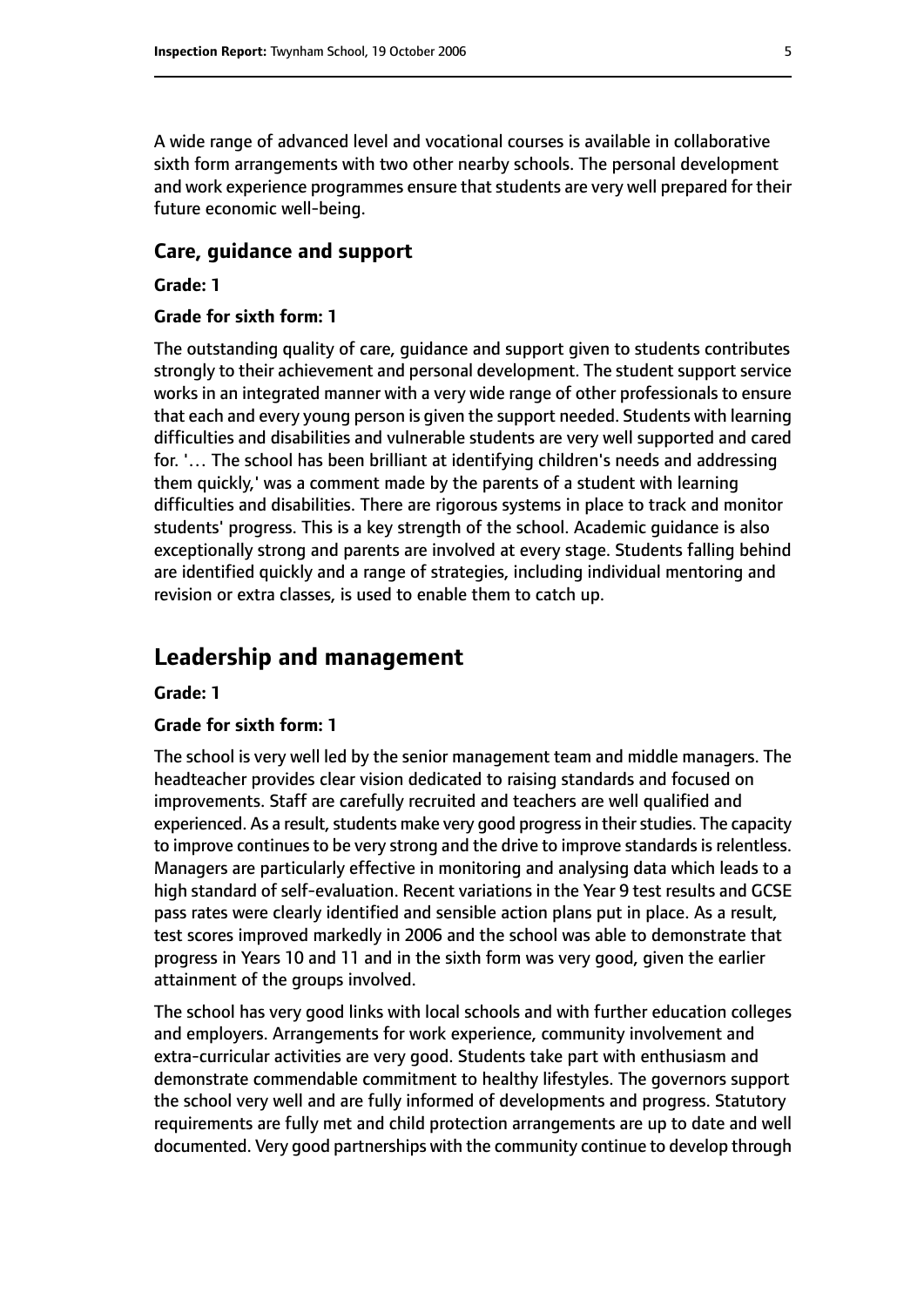A wide range of advanced level and vocational courses is available in collaborative sixth form arrangements with two other nearby schools. The personal development and work experience programmes ensure that students are very well prepared for their future economic well-being.

#### **Care, guidance and support**

#### **Grade: 1**

#### **Grade for sixth form: 1**

The outstanding quality of care, guidance and support given to students contributes strongly to their achievement and personal development. The student support service works in an integrated manner with a very wide range of other professionals to ensure that each and every young person is given the support needed. Students with learning difficulties and disabilities and vulnerable students are very well supported and cared for. '… The school has been brilliant at identifying children's needs and addressing them quickly,' was a comment made by the parents of a student with learning difficulties and disabilities. There are rigorous systems in place to track and monitor students' progress. This is a key strength of the school. Academic guidance is also exceptionally strong and parents are involved at every stage. Students falling behind are identified quickly and a range of strategies, including individual mentoring and revision or extra classes, is used to enable them to catch up.

# **Leadership and management**

#### **Grade: 1**

#### **Grade for sixth form: 1**

The school is very well led by the senior management team and middle managers. The headteacher provides clear vision dedicated to raising standards and focused on improvements. Staff are carefully recruited and teachers are well qualified and experienced. As a result, students make very good progress in their studies. The capacity to improve continues to be very strong and the drive to improve standards is relentless. Managers are particularly effective in monitoring and analysing data which leads to a high standard of self-evaluation. Recent variations in the Year 9 test results and GCSE pass rates were clearly identified and sensible action plans put in place. As a result, test scores improved markedly in 2006 and the school was able to demonstrate that progress in Years 10 and 11 and in the sixth form was very good, given the earlier attainment of the groups involved.

The school has very good links with local schools and with further education colleges and employers. Arrangements for work experience, community involvement and extra-curricular activities are very good. Students take part with enthusiasm and demonstrate commendable commitment to healthy lifestyles. The governors support the school very well and are fully informed of developments and progress. Statutory requirements are fully met and child protection arrangements are up to date and well documented. Very good partnerships with the community continue to develop through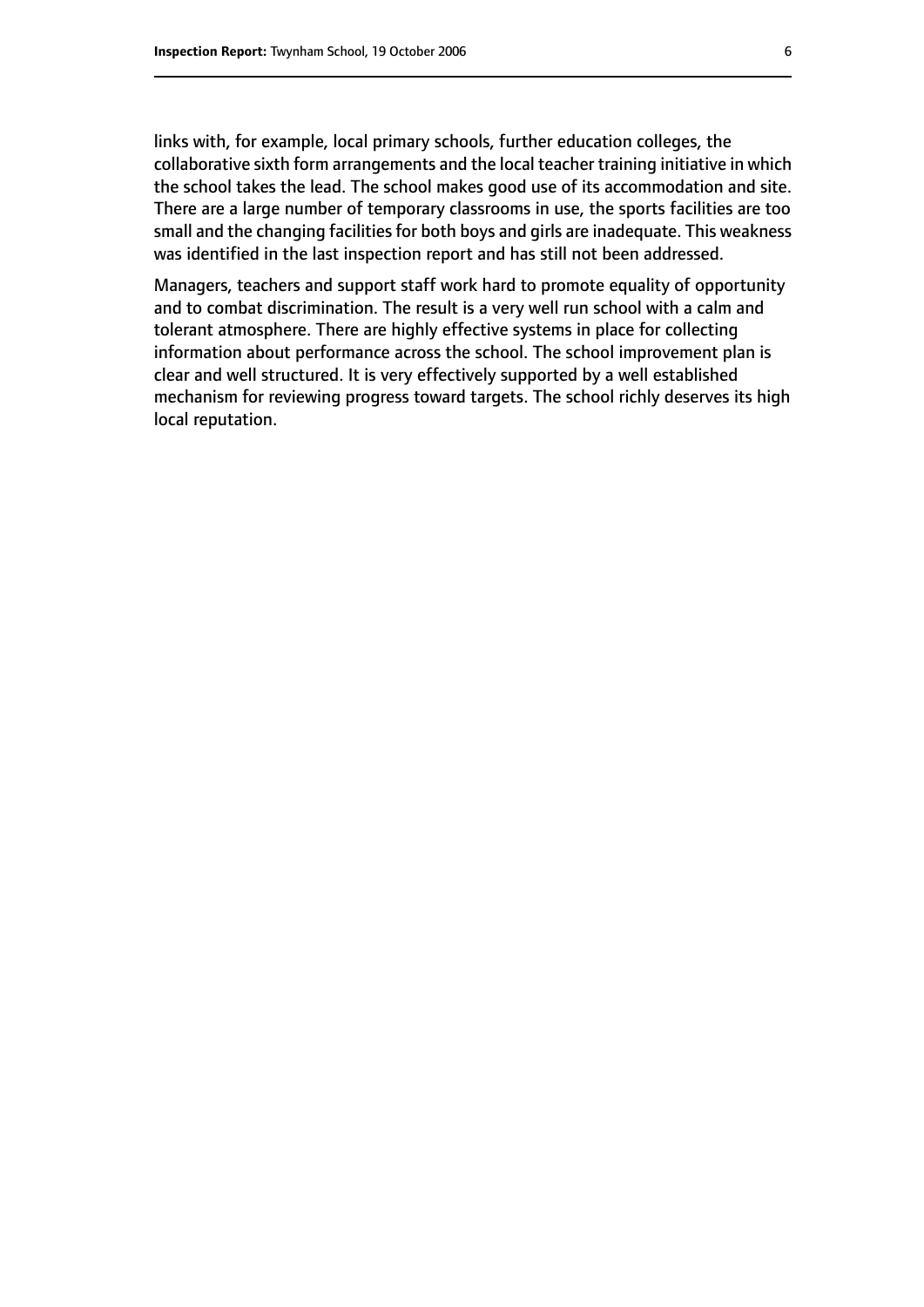links with, for example, local primary schools, further education colleges, the collaborative sixth form arrangements and the local teacher training initiative in which the school takes the lead. The school makes good use of its accommodation and site. There are a large number of temporary classrooms in use, the sports facilities are too small and the changing facilities for both boys and girls are inadequate. This weakness was identified in the last inspection report and has still not been addressed.

Managers, teachers and support staff work hard to promote equality of opportunity and to combat discrimination. The result is a very well run school with a calm and tolerant atmosphere. There are highly effective systems in place for collecting information about performance across the school. The school improvement plan is clear and well structured. It is very effectively supported by a well established mechanism for reviewing progress toward targets. The school richly deserves its high local reputation.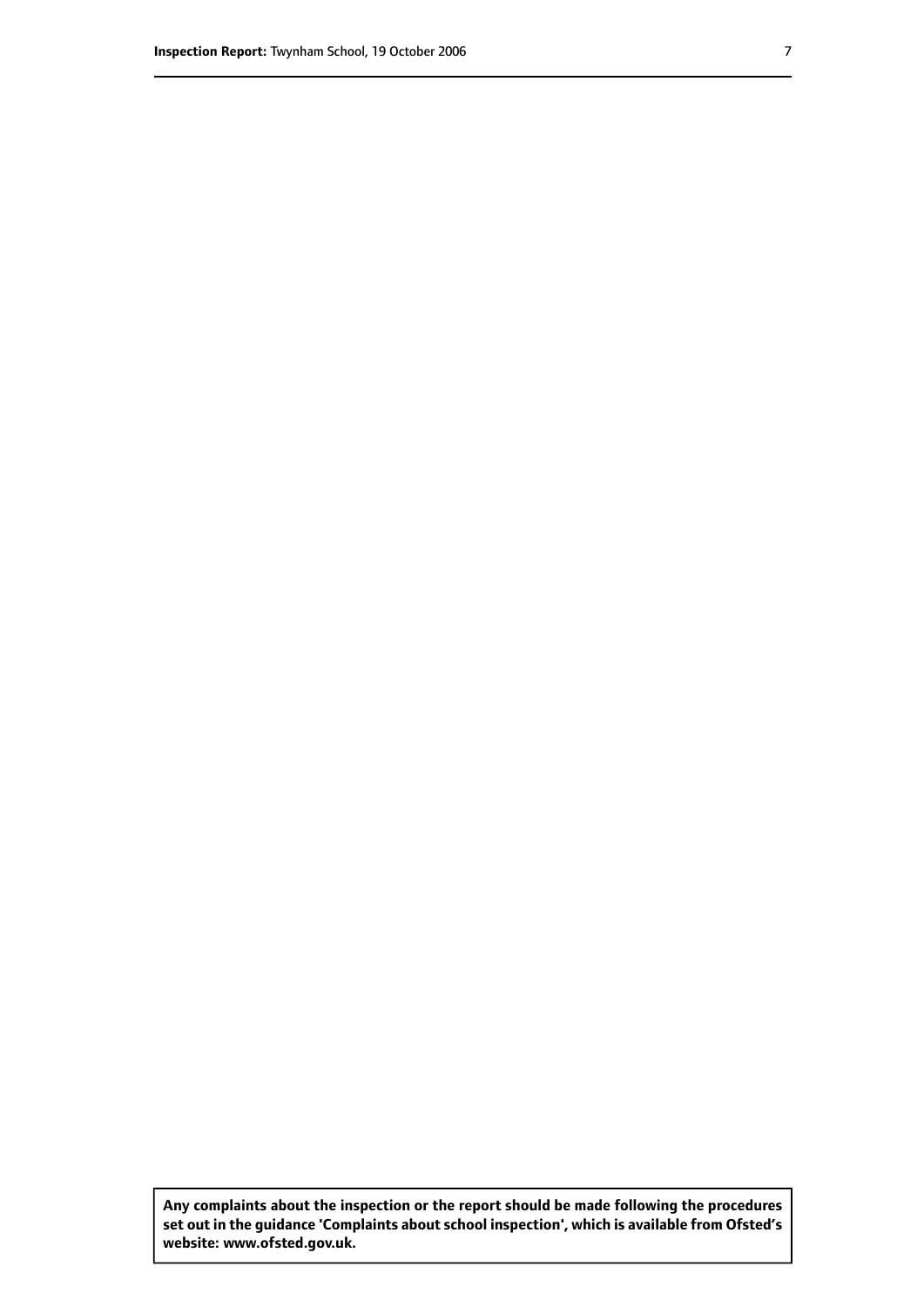**Any complaints about the inspection or the report should be made following the procedures set out inthe guidance 'Complaints about school inspection', whichis available from Ofsted's website: www.ofsted.gov.uk.**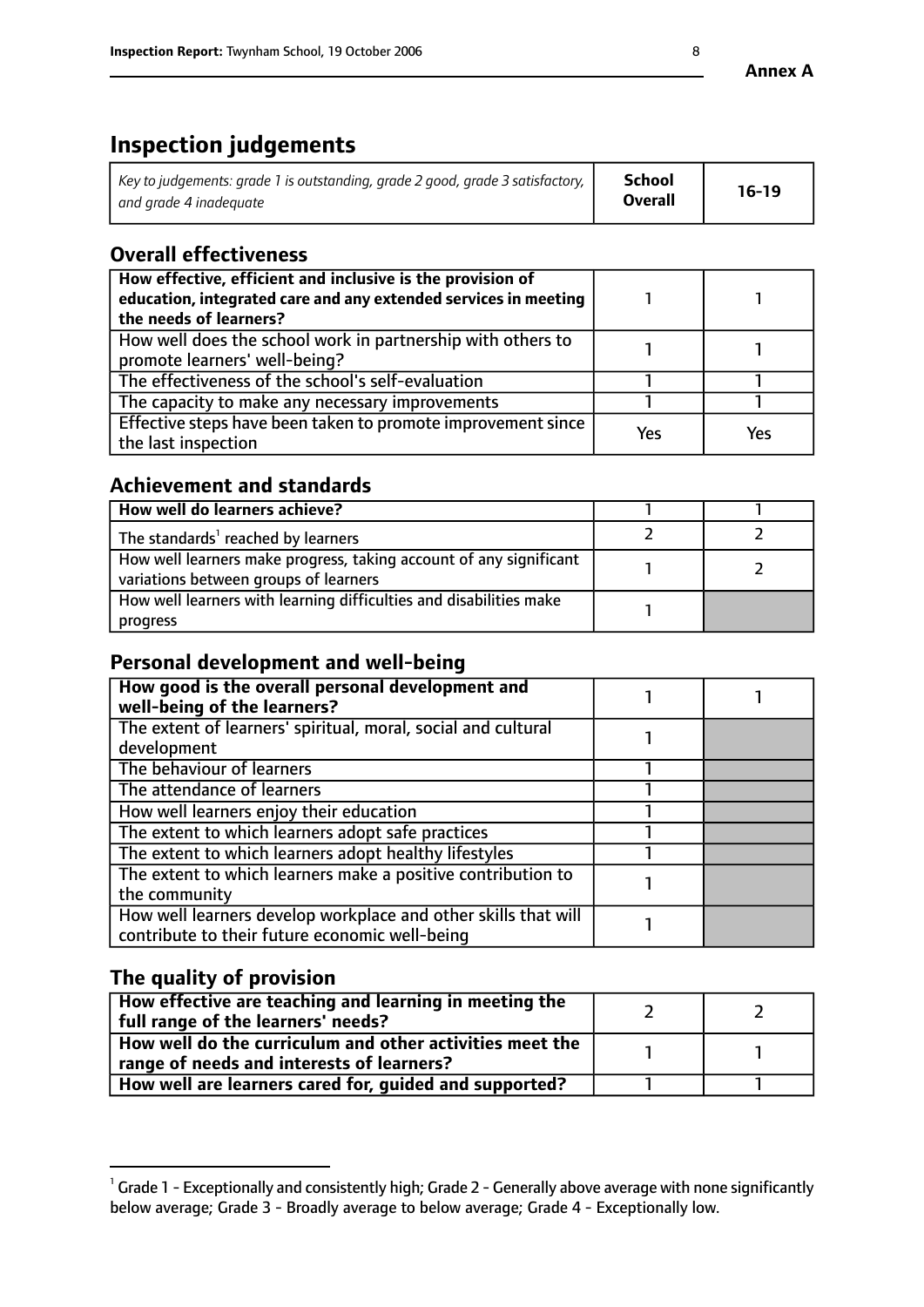# **Inspection judgements**

| Key to judgements: grade 1 is outstanding, grade 2 good, grade 3 satisfactory, $\mid$ | <b>School</b>  | $16-19$ |
|---------------------------------------------------------------------------------------|----------------|---------|
| and grade 4 inadeguate                                                                | <b>Overall</b> |         |

# **Overall effectiveness**

| How effective, efficient and inclusive is the provision of<br>education, integrated care and any extended services in meeting<br>the needs of learners? |     |     |
|---------------------------------------------------------------------------------------------------------------------------------------------------------|-----|-----|
| How well does the school work in partnership with others to<br>promote learners' well-being?                                                            |     |     |
| The effectiveness of the school's self-evaluation                                                                                                       |     |     |
| The capacity to make any necessary improvements                                                                                                         |     |     |
| Effective steps have been taken to promote improvement since<br>the last inspection                                                                     | Yes | Yes |

# **Achievement and standards**

| How well do learners achieve?                                                                               |  |
|-------------------------------------------------------------------------------------------------------------|--|
| The standards <sup>1</sup> reached by learners                                                              |  |
| How well learners make progress, taking account of any significant<br>variations between groups of learners |  |
| How well learners with learning difficulties and disabilities make<br>progress                              |  |

## **Personal development and well-being**

| How good is the overall personal development and<br>well-being of the learners?                                  |  |
|------------------------------------------------------------------------------------------------------------------|--|
| The extent of learners' spiritual, moral, social and cultural<br>development                                     |  |
| The behaviour of learners                                                                                        |  |
| The attendance of learners                                                                                       |  |
| How well learners enjoy their education                                                                          |  |
| The extent to which learners adopt safe practices                                                                |  |
| The extent to which learners adopt healthy lifestyles                                                            |  |
| The extent to which learners make a positive contribution to<br>the community                                    |  |
| How well learners develop workplace and other skills that will<br>contribute to their future economic well-being |  |

# **The quality of provision**

| How effective are teaching and learning in meeting the<br>full range of the learners' needs?          |  |
|-------------------------------------------------------------------------------------------------------|--|
| How well do the curriculum and other activities meet the<br>range of needs and interests of learners? |  |
| How well are learners cared for, guided and supported?                                                |  |

 $^1$  Grade 1 - Exceptionally and consistently high; Grade 2 - Generally above average with none significantly below average; Grade 3 - Broadly average to below average; Grade 4 - Exceptionally low.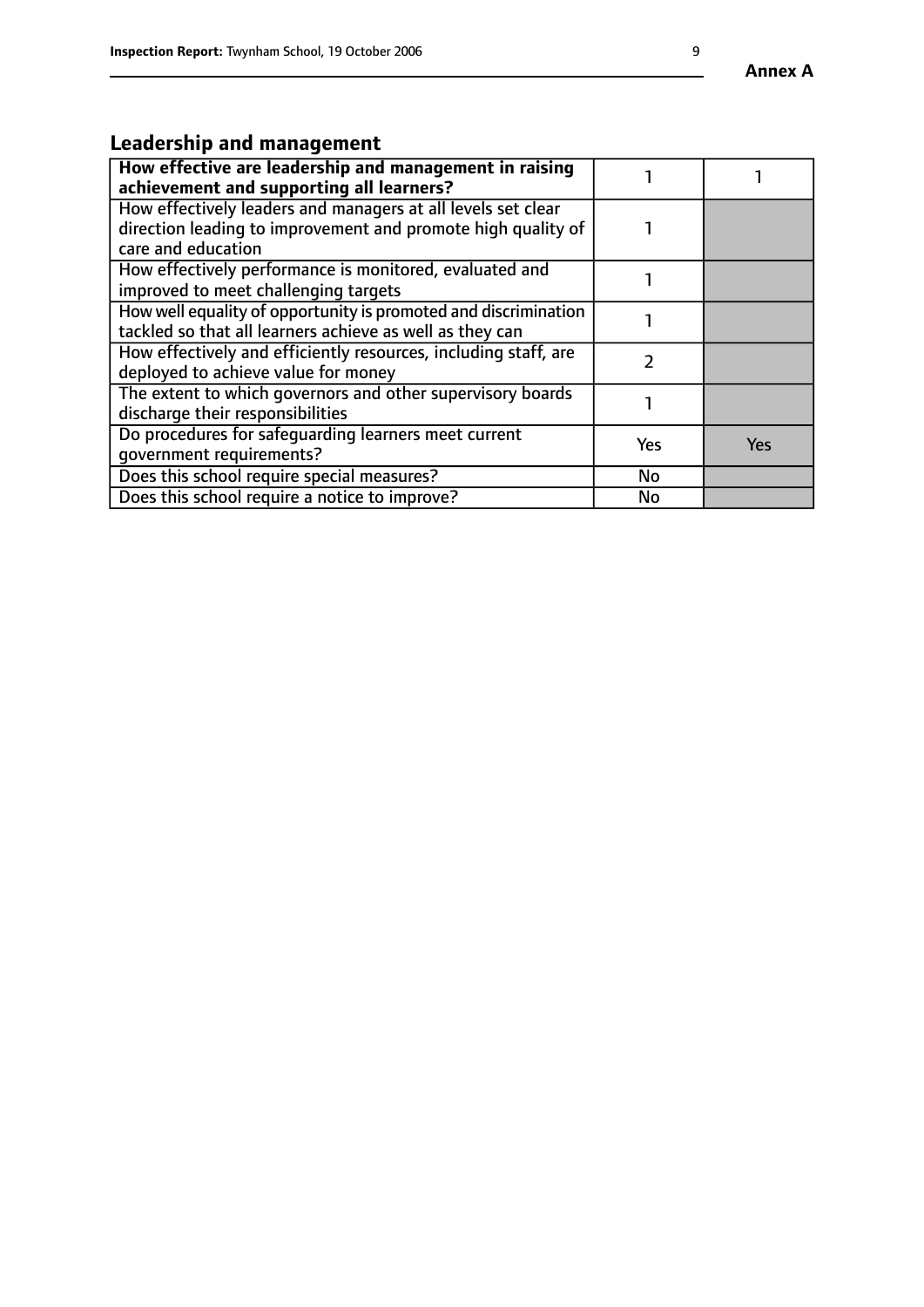# **Leadership and management**

| How effective are leadership and management in raising<br>achievement and supporting all learners?                                                 |     |            |
|----------------------------------------------------------------------------------------------------------------------------------------------------|-----|------------|
| How effectively leaders and managers at all levels set clear<br>direction leading to improvement and promote high quality of<br>care and education |     |            |
| How effectively performance is monitored, evaluated and<br>improved to meet challenging targets                                                    |     |            |
| How well equality of opportunity is promoted and discrimination<br>tackled so that all learners achieve as well as they can                        |     |            |
| How effectively and efficiently resources, including staff, are<br>deployed to achieve value for money                                             |     |            |
| The extent to which governors and other supervisory boards<br>discharge their responsibilities                                                     |     |            |
| Do procedures for safequarding learners meet current<br>qovernment requirements?                                                                   | Yes | <b>Yes</b> |
| Does this school require special measures?                                                                                                         | No  |            |
| Does this school require a notice to improve?                                                                                                      | No  |            |